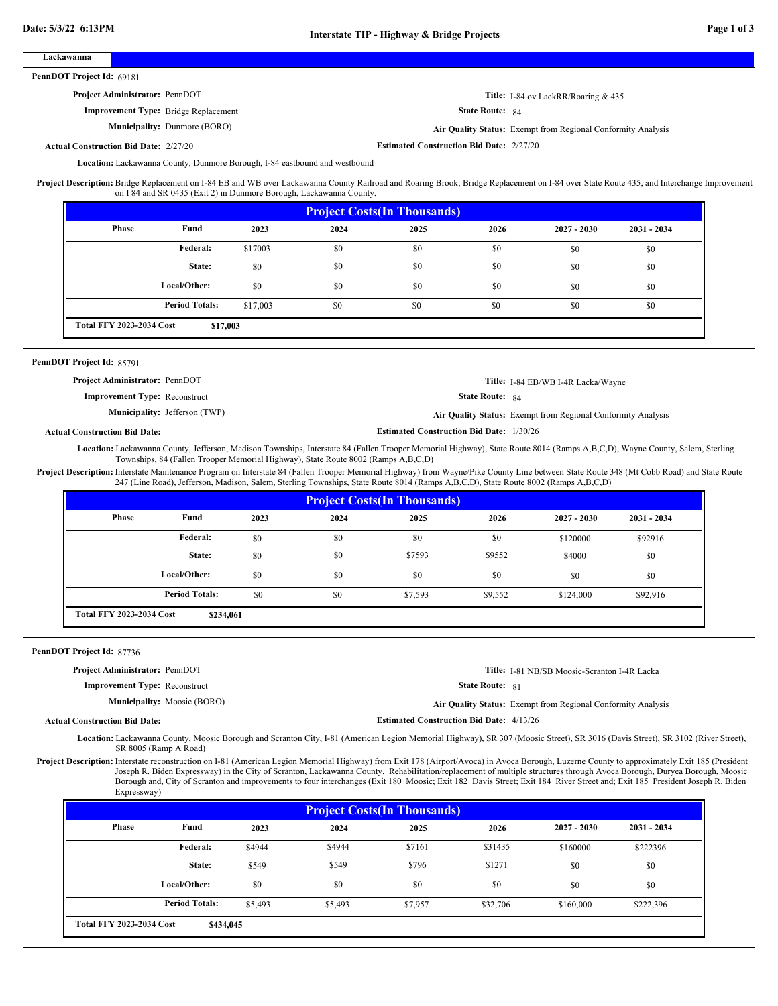| Lackawanna                                                                                                                                                                                    |                                             |                |                                                                                                                                                                                                                                                                  |                                                 |                        |                                                              |                  |  |
|-----------------------------------------------------------------------------------------------------------------------------------------------------------------------------------------------|---------------------------------------------|----------------|------------------------------------------------------------------------------------------------------------------------------------------------------------------------------------------------------------------------------------------------------------------|-------------------------------------------------|------------------------|--------------------------------------------------------------|------------------|--|
| PennDOT Project Id: 69181                                                                                                                                                                     |                                             |                |                                                                                                                                                                                                                                                                  |                                                 |                        |                                                              |                  |  |
| Project Administrator: PennDOT                                                                                                                                                                |                                             |                |                                                                                                                                                                                                                                                                  |                                                 |                        | Title: I-84 ov LackRR/Roaring & 435                          |                  |  |
|                                                                                                                                                                                               | <b>Improvement Type:</b> Bridge Replacement |                |                                                                                                                                                                                                                                                                  |                                                 | State Route: 84        |                                                              |                  |  |
|                                                                                                                                                                                               | Municipality: Dunmore (BORO)                |                |                                                                                                                                                                                                                                                                  |                                                 |                        | Air Quality Status: Exempt from Regional Conformity Analysis |                  |  |
| <b>Actual Construction Bid Date: 2/27/20</b>                                                                                                                                                  |                                             |                |                                                                                                                                                                                                                                                                  | <b>Estimated Construction Bid Date: 2/27/20</b> |                        |                                                              |                  |  |
|                                                                                                                                                                                               |                                             |                | Location: Lackawanna County, Dunmore Borough, I-84 eastbound and westbound                                                                                                                                                                                       |                                                 |                        |                                                              |                  |  |
| Project Description: Bridge Replacement on I-84 EB and WB over Lackawanna County Railroad and Roaring Brook; Bridge Replacement on I-84 over State Route 435, and Interchange Improvement     |                                             |                |                                                                                                                                                                                                                                                                  |                                                 |                        |                                                              |                  |  |
|                                                                                                                                                                                               |                                             |                | on I 84 and SR 0435 (Exit 2) in Dunmore Borough, Lackawanna County.                                                                                                                                                                                              |                                                 |                        |                                                              |                  |  |
|                                                                                                                                                                                               |                                             |                |                                                                                                                                                                                                                                                                  | <b>Project Costs (In Thousands)</b>             |                        |                                                              |                  |  |
| <b>Phase</b>                                                                                                                                                                                  | Fund                                        | 2023           | 2024                                                                                                                                                                                                                                                             | 2025                                            | 2026                   | $2027 - 2030$                                                | $2031 - 2034$    |  |
|                                                                                                                                                                                               | Federal:                                    | \$17003        | \$0                                                                                                                                                                                                                                                              | \$0                                             | \$0                    | \$0                                                          | \$0              |  |
|                                                                                                                                                                                               | State:                                      | \$0            | \$0                                                                                                                                                                                                                                                              | \$0                                             | \$0                    | \$0                                                          | \$0              |  |
|                                                                                                                                                                                               | Local/Other:                                | \$0            | \$0                                                                                                                                                                                                                                                              | \$0                                             | \$0                    | \$0                                                          | \$0              |  |
|                                                                                                                                                                                               | <b>Period Totals:</b>                       | \$17,003       | \$0                                                                                                                                                                                                                                                              | \$0                                             | \$0                    | \$0                                                          | \$0              |  |
| <b>Total FFY 2023-2034 Cost</b>                                                                                                                                                               | \$17,003                                    |                |                                                                                                                                                                                                                                                                  |                                                 |                        |                                                              |                  |  |
|                                                                                                                                                                                               |                                             |                |                                                                                                                                                                                                                                                                  |                                                 |                        |                                                              |                  |  |
| PennDOT Project Id: 85791                                                                                                                                                                     |                                             |                |                                                                                                                                                                                                                                                                  |                                                 |                        |                                                              |                  |  |
| Project Administrator: PennDOT                                                                                                                                                                |                                             |                |                                                                                                                                                                                                                                                                  |                                                 |                        |                                                              |                  |  |
| <b>Improvement Type: Reconstruct</b>                                                                                                                                                          |                                             |                |                                                                                                                                                                                                                                                                  |                                                 | <b>State Route: 84</b> | Title: I-84 EB/WB I-4R Lacka/Wayne                           |                  |  |
|                                                                                                                                                                                               | <b>Municipality:</b> Jefferson (TWP)        |                |                                                                                                                                                                                                                                                                  |                                                 |                        |                                                              |                  |  |
|                                                                                                                                                                                               |                                             |                |                                                                                                                                                                                                                                                                  |                                                 |                        | Air Quality Status: Exempt from Regional Conformity Analysis |                  |  |
| <b>Actual Construction Bid Date:</b>                                                                                                                                                          |                                             |                |                                                                                                                                                                                                                                                                  | <b>Estimated Construction Bid Date: 1/30/26</b> |                        |                                                              |                  |  |
|                                                                                                                                                                                               |                                             |                | Location: Lackawanna County, Jefferson, Madison Townships, Interstate 84 (Fallen Trooper Memorial Highway), State Route 8014 (Ramps A,B,C,D), Wayne County, Salem, Sterling<br>Townships, 84 (Fallen Trooper Memorial Highway), State Route 8002 (Ramps A,B,C,D) |                                                 |                        |                                                              |                  |  |
| Project Description: Interstate Maintenance Program on Interstate 84 (Fallen Trooper Memorial Highway) from Wayne/Pike County Line between State Route 348 (Mt Cobb Road) and State Route     |                                             |                |                                                                                                                                                                                                                                                                  |                                                 |                        |                                                              |                  |  |
|                                                                                                                                                                                               |                                             |                | 247 (Line Road), Jefferson, Madison, Salem, Sterling Townships, State Route 8014 (Ramps A,B,C,D), State Route 8002 (Ramps A,B,C,D)                                                                                                                               |                                                 |                        |                                                              |                  |  |
|                                                                                                                                                                                               |                                             |                |                                                                                                                                                                                                                                                                  | <b>Project Costs (In Thousands)</b>             |                        |                                                              |                  |  |
| Phase                                                                                                                                                                                         | Fund                                        | 2023           | 2024                                                                                                                                                                                                                                                             | 2025                                            | 2026                   | $2027 - 2030$                                                | 2031 - 2034      |  |
|                                                                                                                                                                                               |                                             | \$0            | \$0                                                                                                                                                                                                                                                              | \$0                                             | \$0                    | \$120000                                                     | \$92916          |  |
|                                                                                                                                                                                               | Federal:                                    |                |                                                                                                                                                                                                                                                                  |                                                 |                        |                                                              |                  |  |
|                                                                                                                                                                                               | State:                                      | \$0            | \$0                                                                                                                                                                                                                                                              | \$7593                                          | \$9552                 | \$4000                                                       | \$0              |  |
|                                                                                                                                                                                               | Local/Other:                                | \$0            | \$0                                                                                                                                                                                                                                                              | \$0                                             | \$0                    | \$0                                                          | \$0              |  |
|                                                                                                                                                                                               |                                             |                |                                                                                                                                                                                                                                                                  |                                                 |                        |                                                              |                  |  |
|                                                                                                                                                                                               | <b>Period Totals:</b>                       | \$0            | \$0                                                                                                                                                                                                                                                              | \$7,593                                         | \$9,552                | \$124,000                                                    | \$92,916         |  |
| <b>Total FFY 2023-2034 Cost</b>                                                                                                                                                               | \$234,061                                   |                |                                                                                                                                                                                                                                                                  |                                                 |                        |                                                              |                  |  |
|                                                                                                                                                                                               |                                             |                |                                                                                                                                                                                                                                                                  |                                                 |                        |                                                              |                  |  |
| PennDOT Project Id: 87736                                                                                                                                                                     |                                             |                |                                                                                                                                                                                                                                                                  |                                                 |                        |                                                              |                  |  |
| Project Administrator: PennDOT                                                                                                                                                                |                                             |                |                                                                                                                                                                                                                                                                  |                                                 |                        | Title: I-81 NB/SB Moosic-Scranton I-4R Lacka                 |                  |  |
| <b>Improvement Type: Reconstruct</b>                                                                                                                                                          |                                             |                |                                                                                                                                                                                                                                                                  |                                                 | <b>State Route: 81</b> |                                                              |                  |  |
|                                                                                                                                                                                               | <b>Municipality:</b> Moosic (BORO)          |                |                                                                                                                                                                                                                                                                  |                                                 |                        | Air Quality Status: Exempt from Regional Conformity Analysis |                  |  |
| <b>Actual Construction Bid Date:</b>                                                                                                                                                          |                                             |                |                                                                                                                                                                                                                                                                  | <b>Estimated Construction Bid Date: 4/13/26</b> |                        |                                                              |                  |  |
|                                                                                                                                                                                               |                                             |                | Location: Lackawanna County, Moosic Borough and Scranton City, I-81 (American Legion Memorial Highway), SR 307 (Moosic Street), SR 3016 (Davis Street), SR 3102 (River Street),                                                                                  |                                                 |                        |                                                              |                  |  |
| Project Description: Interstate reconstruction on I-81 (American Legion Memorial Highway) from Exit 178 (Airport/Avoca) in Avoca Borough, Luzerne County to approximately Exit 185 (President | SR 8005 (Ramp A Road)                       |                |                                                                                                                                                                                                                                                                  |                                                 |                        |                                                              |                  |  |
|                                                                                                                                                                                               |                                             |                | Joseph R. Biden Expressway) in the City of Scranton, Lackawanna County. Rehabilitation/replacement of multiple structures through Avoca Borough, Duryea Borough, Moosic                                                                                          |                                                 |                        |                                                              |                  |  |
| Expressway)                                                                                                                                                                                   |                                             |                | Borough and, City of Scranton and improvements to four interchanges (Exit 180 Moosic; Exit 182 Davis Street; Exit 184 River Street and; Exit 185 President Joseph R. Biden                                                                                       |                                                 |                        |                                                              |                  |  |
|                                                                                                                                                                                               |                                             |                |                                                                                                                                                                                                                                                                  | <b>Project Costs(In Thousands)</b>              |                        |                                                              |                  |  |
| <b>Phase</b>                                                                                                                                                                                  | Fund                                        | 2023           | 2024                                                                                                                                                                                                                                                             | 2025                                            | 2026                   | $2027 - 2030$                                                | 2031 - 2034      |  |
|                                                                                                                                                                                               | Federal:                                    | \$4944         | \$4944                                                                                                                                                                                                                                                           | \$7161                                          | \$31435                |                                                              |                  |  |
|                                                                                                                                                                                               |                                             |                |                                                                                                                                                                                                                                                                  |                                                 |                        | \$160000                                                     | \$222396         |  |
|                                                                                                                                                                                               | State:                                      | \$549          | \$549                                                                                                                                                                                                                                                            | \$796                                           | \$1271                 | \$0                                                          | \$0              |  |
|                                                                                                                                                                                               | Local/Other:<br><b>Period Totals:</b>       | \$0<br>\$5,493 | \$0<br>\$5,493                                                                                                                                                                                                                                                   | \$0<br>\$7,957                                  | \$0<br>\$32,706        | \$0<br>\$160,000                                             | \$0<br>\$222,396 |  |

**\$434,045 Total FFY 2023-2034 Cost**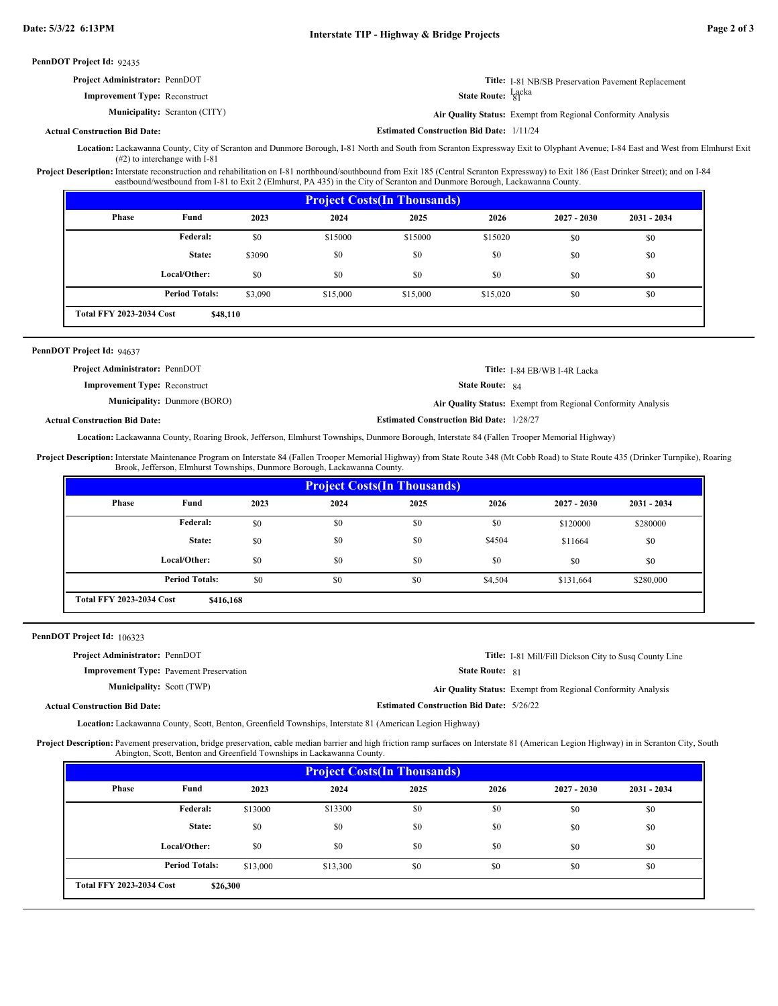| <b>Project Administrator: PennDOT</b> | <b>Title:</b> I-81 NB/SB Preservation Pavement Replacement          |
|---------------------------------------|---------------------------------------------------------------------|
| <b>Improvement Type:</b> Reconstruct  | State Route: $\frac{Lacka}{81}$                                     |
| <b>Municipality:</b> Scranton (CITY)  | <b>Air Quality Status:</b> Exempt from Regional Conformity Analysis |

**Actual Construction Bid Date:**

**Estimated Construction Bid Date:** 1/11/24

Lackawanna County, City of Scranton and Dunmore Borough, I-81 North and South from Scranton Expressway Exit to Olyphant Avenue; I-84 East and West from Elmhurst Exit **Location:** (#2) to interchange with I-81

Project Description: Interstate reconstruction and rehabilitation on I-81 northbound/southbound from Exit 185 (Central Scranton Expressway) to Exit 186 (East Drinker Street); and on I-84 eastbound/westbound from I-81 to Exit 2 (Elmhurst, PA 435) in the City of Scranton and Dunmore Borough, Lackawanna County.

| <b>Project Costs (In Thousands)</b> |                                             |         |          |          |          |               |               |  |  |
|-------------------------------------|---------------------------------------------|---------|----------|----------|----------|---------------|---------------|--|--|
| <b>Phase</b>                        | Fund                                        | 2023    | 2024     | 2025     | 2026     | $2027 - 2030$ | $2031 - 2034$ |  |  |
|                                     | Federal:                                    | \$0     | \$15000  | \$15000  | \$15020  | \$0           | \$0           |  |  |
|                                     | State:                                      | \$3090  | \$0      | \$0      | \$0      | \$0           | \$0           |  |  |
|                                     | Local/Other:                                | \$0     | \$0      | \$0      | \$0      | \$0           | \$0           |  |  |
|                                     | <b>Period Totals:</b>                       | \$3,090 | \$15,000 | \$15,000 | \$15,020 | \$0           | \$0           |  |  |
|                                     | <b>Total FFY 2023-2034 Cost</b><br>\$48,110 |         |          |          |          |               |               |  |  |

### PennDOT Project Id: 94637

| <b>Project Administrator: PennDOT</b> |                                     |                                                 | Title: I-84 EB/WB I-4R Lacka                                        |
|---------------------------------------|-------------------------------------|-------------------------------------------------|---------------------------------------------------------------------|
| <b>Improvement Type: Reconstruct</b>  |                                     | <b>State Route: 84</b>                          |                                                                     |
|                                       | <b>Municipality:</b> Dunmore (BORO) |                                                 | <b>Air Quality Status:</b> Exempt from Regional Conformity Analysis |
| al Construction Bid Date:             |                                     | <b>Estimated Construction Bid Date: 1/28/27</b> |                                                                     |

### **Actual Construction Bid Date:**

Lackawanna County, Roaring Brook, Jefferson, Elmhurst Townships, Dunmore Borough, Interstate 84 (Fallen Trooper Memorial Highway) **Location:**

Project Description: Interstate Maintenance Program on Interstate 84 (Fallen Trooper Memorial Highway) from State Route 348 (Mt Cobb Road) to State Route 435 (Drinker Turnpike), Roaring Brook, Jefferson, Elmhurst Townships, Dunmore Borough, Lackawanna County.

| <b>Project Costs (In Thousands)</b>          |                       |      |      |      |         |               |               |  |
|----------------------------------------------|-----------------------|------|------|------|---------|---------------|---------------|--|
| Phase                                        | Fund                  | 2023 | 2024 | 2025 | 2026    | $2027 - 2030$ | $2031 - 2034$ |  |
|                                              | Federal:              | \$0  | \$0  | \$0  | \$0     | \$120000      | \$280000      |  |
|                                              | State:                | \$0  | \$0  | \$0  | \$4504  | \$11664       | \$0           |  |
|                                              | Local/Other:          | \$0  | \$0  | \$0  | \$0     | \$0           | \$0           |  |
|                                              | <b>Period Totals:</b> | \$0  | \$0  | \$0  | \$4,504 | \$131,664     | \$280,000     |  |
| <b>Total FFY 2023-2034 Cost</b><br>\$416,168 |                       |      |      |      |         |               |               |  |

PennDOT Project Id: 106323

| <b>Project Administrator: PennDOT</b> |                                                |                                                 | <b>Title:</b> I-81 Mill/Fill Dickson City to Susg County Line |
|---------------------------------------|------------------------------------------------|-------------------------------------------------|---------------------------------------------------------------|
|                                       | <b>Improvement Type:</b> Pavement Preservation | <b>State Route: 81</b>                          |                                                               |
| <b>Municipality:</b> Scott (TWP)      |                                                |                                                 | Air Quality Status: Exempt from Regional Conformity Analysis  |
| <b>Actual Construction Bid Date:</b>  |                                                | <b>Estimated Construction Bid Date: 5/26/22</b> |                                                               |

Lackawanna County, Scott, Benton, Greenfield Townships, Interstate 81 (American Legion Highway) **Location:**

Project Description: Pavement preservation, bridge preservation, cable median barrier and high friction ramp surfaces on Interstate 81 (American Legion Highway) in in Scranton City, South Abington, Scott, Benton and Greenfield Townships in Lackawanna County.

| <b>Project Costs (In Thousands)</b> |                                             |          |          |      |      |               |               |  |  |
|-------------------------------------|---------------------------------------------|----------|----------|------|------|---------------|---------------|--|--|
| <b>Phase</b>                        | Fund                                        | 2023     | 2024     | 2025 | 2026 | $2027 - 2030$ | $2031 - 2034$ |  |  |
|                                     | Federal:                                    | \$13000  | \$13300  | \$0  | \$0  | \$0           | \$0           |  |  |
|                                     | State:                                      | \$0      | \$0      | \$0  | \$0  | \$0           | \$0           |  |  |
|                                     | Local/Other:                                | \$0      | \$0      | \$0  | \$0  | \$0           | \$0           |  |  |
|                                     | <b>Period Totals:</b>                       | \$13,000 | \$13,300 | \$0  | \$0  | \$0           | \$0           |  |  |
|                                     | <b>Total FFY 2023-2034 Cost</b><br>\$26,300 |          |          |      |      |               |               |  |  |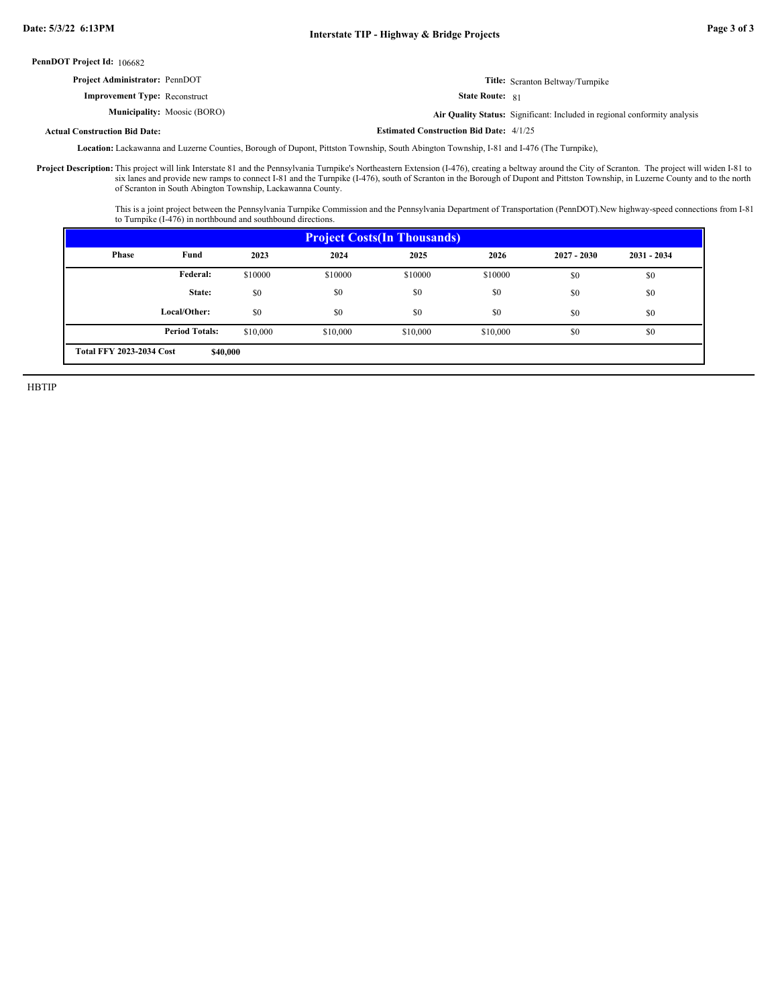| <b>Project Administrator: PennDOT</b> |                                    |                                                | <b>Title:</b> Scranton Beltway/Turnpike                                   |
|---------------------------------------|------------------------------------|------------------------------------------------|---------------------------------------------------------------------------|
| <b>Improvement Type:</b> Reconstruct  |                                    | <b>State Route: 81</b>                         |                                                                           |
|                                       | <b>Municipality:</b> Moosic (BORO) |                                                | Air Quality Status: Significant: Included in regional conformity analysis |
| <b>Actual Construction Bid Date:</b>  |                                    | <b>Estimated Construction Bid Date: 4/1/25</b> |                                                                           |

Lackawanna and Luzerne Counties, Borough of Dupont, Pittston Township, South Abington Township, I-81 and I-476 (The Turnpike), **Location:**

This project will link Interstate 81 and the Pennsylvania Turnpike's Northeastern Extension (I-476), creating a beltway around the City of Scranton. The project will widen I-81 to six lanes and provide new ramps to connect I-81 and the Turnpike (I-476), south of Scranton in the Borough of Dupont and Pittston Township, in Luzerne County and to the north of Scranton in South Abington Township, Lackawanna County. **Project Description:**

> This is a joint project between the Pennsylvania Turnpike Commission and the Pennsylvania Department of Transportation (PennDOT).New highway-speed connections from I-81 to Turnpike (I-476) in northbound and southbound directions.

| <b>Project Costs (In Thousands)</b> |                                             |          |          |          |          |               |               |  |
|-------------------------------------|---------------------------------------------|----------|----------|----------|----------|---------------|---------------|--|
| <b>Phase</b>                        | Fund                                        | 2023     | 2024     | 2025     | 2026     | $2027 - 2030$ | $2031 - 2034$ |  |
|                                     | Federal:                                    | \$10000  | \$10000  | \$10000  | \$10000  | \$0           | \$0           |  |
|                                     | State:                                      | \$0      | \$0      | \$0      | \$0      | \$0           | \$0           |  |
|                                     | Local/Other:                                | \$0      | \$0      | \$0      | \$0      | \$0           | \$0           |  |
|                                     | <b>Period Totals:</b>                       | \$10,000 | \$10,000 | \$10,000 | \$10,000 | \$0           | \$0           |  |
|                                     | <b>Total FFY 2023-2034 Cost</b><br>\$40,000 |          |          |          |          |               |               |  |

HBTIP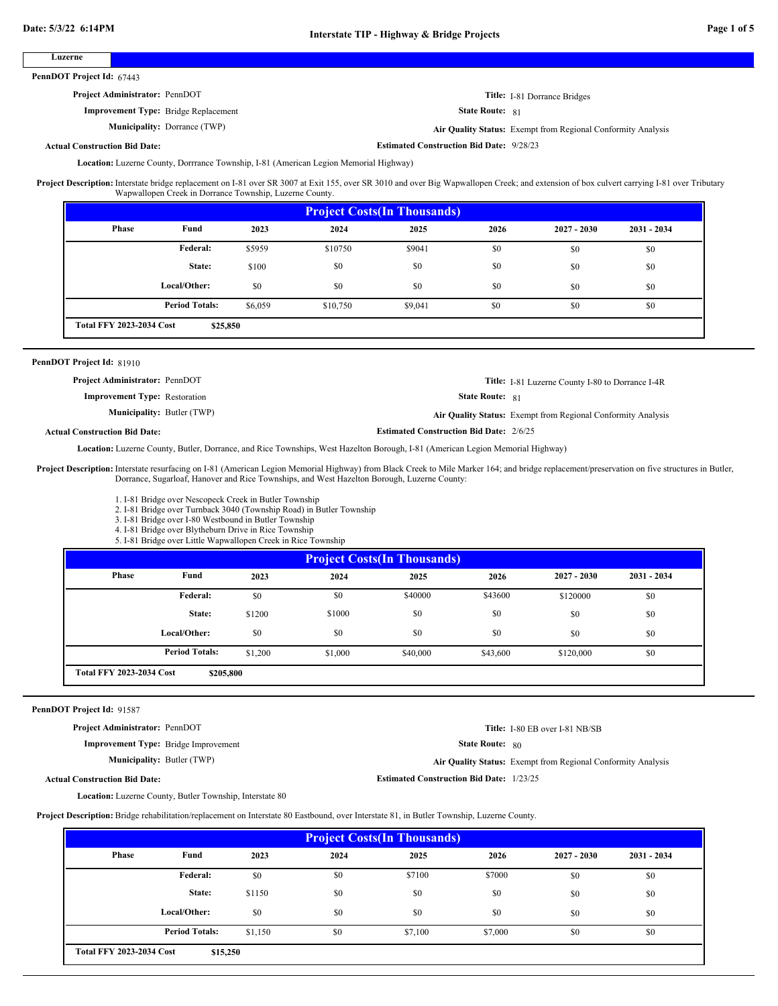### **Luzerne**

PennDOT Project Id: 67443

# **Project Administrator:** PennDOT

**Improvement Type:** Bridge Replacement

**Municipality:** Dorrance (TWP) Dorrance (TWP) **Air Quality Status:** Exempt from Regional Conformity Analysis

**Estimated Construction Bid Date:** 9/28/23

State Route: 81

**Title:** I-81 Dorrance Bridges

**Actual Construction Bid Date:**

Location: Luzerne County, Dorrrance Township, I-81 (American Legion Memorial Highway)

Project Description: Interstate bridge replacement on I-81 over SR 3007 at Exit 155, over SR 3010 and over Big Wapwallopen Creek; and extension of box culvert carrying I-81 over Tributary Wapwallopen Creek in Dorrance Township, Luzerne County.

| <b>Project Costs (In Thousands)</b> |                                             |         |          |         |      |               |               |  |  |
|-------------------------------------|---------------------------------------------|---------|----------|---------|------|---------------|---------------|--|--|
| <b>Phase</b>                        | Fund                                        | 2023    | 2024     | 2025    | 2026 | $2027 - 2030$ | $2031 - 2034$ |  |  |
|                                     | Federal:                                    | \$5959  | \$10750  | \$9041  | \$0  | \$0           | \$0           |  |  |
|                                     | State:                                      | \$100   | \$0      | \$0     | \$0  | \$0           | \$0           |  |  |
|                                     | Local/Other:                                | \$0     | \$0      | \$0     | \$0  | \$0           | \$0           |  |  |
|                                     | <b>Period Totals:</b>                       | \$6,059 | \$10,750 | \$9,041 | \$0  | \$0           | \$0           |  |  |
|                                     | <b>Total FFY 2023-2034 Cost</b><br>\$25,850 |         |          |         |      |               |               |  |  |

#### PennDOT Project Id: 81910

**Project Administrator:** PennDOT

**Title:** I-81 Luzerne County I-80 to Dorrance I-4R

**Improvement Type:** Restoration **Municipality:** Butler (TWP) Butler (TWP) **Air Quality Status:** Exempt from Regional Conformity Analysis

**Estimated Construction Bid Date:** 2/6/25

State Route: 81

**Actual Construction Bid Date:**

Location: Luzerne County, Butler, Dorrance, and Rice Townships, West Hazelton Borough, I-81 (American Legion Memorial Highway)

Project Description: Interstate resurfacing on I-81 (American Legion Memorial Highway) from Black Creek to Mile Marker 164; and bridge replacement/preservation on five structures in Butler, Dorrance, Sugarloaf, Hanover and Rice Townships, and West Hazelton Borough, Luzerne County:

1. I-81 Bridge over Nescopeck Creek in Butler Township

2. I-81 Bridge over Turnback 3040 (Township Road) in Butler Township

3. I-81 Bridge over I-80 Westbound in Butler Township

4. I-81 Bridge over Blytheburn Drive in Rice Township 5. I-81 Bridge over Little Wapwallopen Creek in Rice Township

| <b>Project Costs (In Thousands)</b>          |                       |         |         |          |          |               |               |  |
|----------------------------------------------|-----------------------|---------|---------|----------|----------|---------------|---------------|--|
| Phase                                        | Fund                  | 2023    | 2024    | 2025     | 2026     | $2027 - 2030$ | $2031 - 2034$ |  |
|                                              | Federal:              | \$0     | \$0     | \$40000  | \$43600  | \$120000      | \$0           |  |
|                                              | State:                | \$1200  | \$1000  | \$0      | \$0      | \$0           | \$0           |  |
|                                              | Local/Other:          | \$0     | \$0     | \$0      | \$0      | \$0           | \$0           |  |
|                                              | <b>Period Totals:</b> | \$1,200 | \$1,000 | \$40,000 | \$43,600 | \$120,000     | \$0           |  |
| <b>Total FFY 2023-2034 Cost</b><br>\$205,800 |                       |         |         |          |          |               |               |  |

#### PennDOT Project Id: 91587

**Actual Construction Bid Date:**

**Project Administrator:** PennDOT

**Improvement Type:** Bridge Improvement

Municipality: Butler (TWP)

**State Route:** 80 **Title:** I-80 EB over I-81 NB/SB

Butler (TWP) **Air Quality Status:** Exempt from Regional Conformity Analysis

**Estimated Construction Bid Date:** 1/23/25

Location: Luzerne County, Butler Township, Interstate 80

**Project Description:** Bridge rehabilitation/replacement on Interstate 80 Eastbound, over Interstate 81, in Butler Township, Luzerne County.

| <b>Project Costs (In Thousands)</b> |                                             |         |      |         |         |               |               |  |  |
|-------------------------------------|---------------------------------------------|---------|------|---------|---------|---------------|---------------|--|--|
| Phase                               | Fund                                        | 2023    | 2024 | 2025    | 2026    | $2027 - 2030$ | $2031 - 2034$ |  |  |
|                                     | Federal:                                    | \$0     | \$0  | \$7100  | \$7000  | \$0           | \$0           |  |  |
|                                     | State:                                      | \$1150  | \$0  | \$0     | \$0     | \$0           | \$0           |  |  |
|                                     | Local/Other:                                | \$0     | \$0  | \$0     | \$0     | \$0           | \$0           |  |  |
|                                     | <b>Period Totals:</b>                       | \$1,150 | \$0  | \$7,100 | \$7,000 | \$0           | \$0           |  |  |
|                                     | <b>Total FFY 2023-2034 Cost</b><br>\$15,250 |         |      |         |         |               |               |  |  |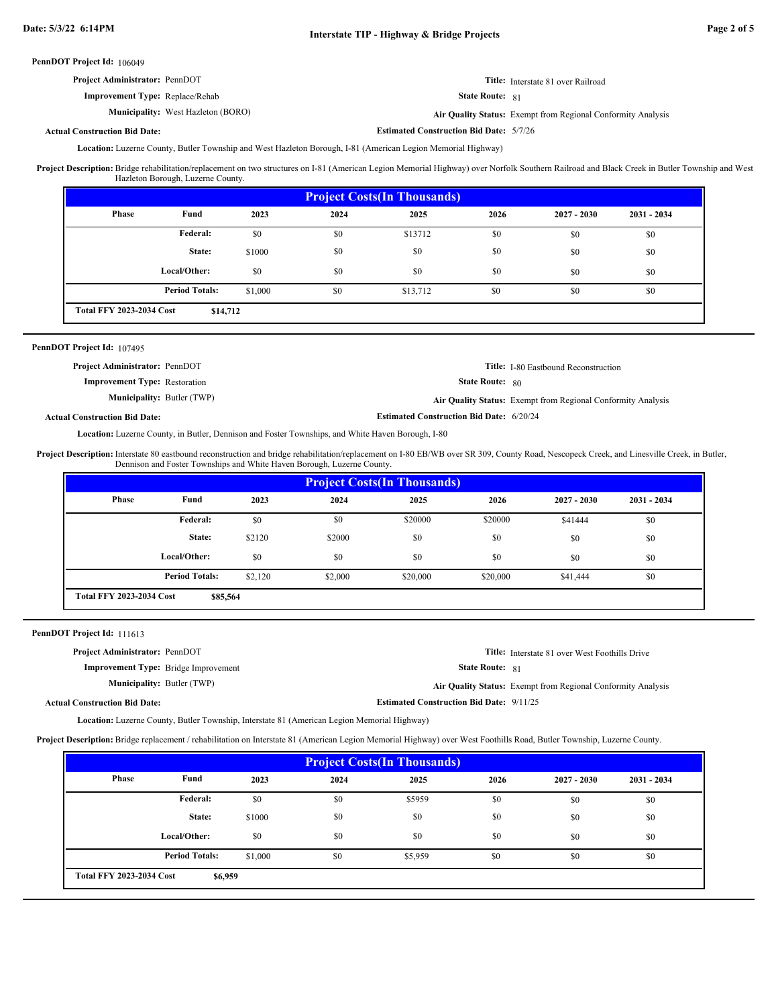| <b>Project Administrator: PennDOT</b>  | Title: Interstate 81 over Railroad |
|----------------------------------------|------------------------------------|
| <b>Improvement Type:</b> Replace/Rehab | <b>State Route: 81</b>             |

**Municipality:** West Hazleton (BORO) **Air Quality Status:**

Air Quality Status: Exempt from Regional Conformity Analysis

**Actual Construction Bid Date:**

**Estimated Construction Bid Date:** 5/7/26

Location: Luzerne County, Butler Township and West Hazleton Borough, I-81 (American Legion Memorial Highway)

Project Description: Bridge rehabilitation/replacement on two structures on I-81 (American Legion Memorial Highway) over Norfolk Southern Railroad and Black Creek in Butler Township and West Hazleton Borough, Luzerne County.

| <b>Project Costs (In Thousands)</b>                                      |              |        |      |         |      |               |               |
|--------------------------------------------------------------------------|--------------|--------|------|---------|------|---------------|---------------|
| Phase                                                                    | Fund         | 2023   | 2024 | 2025    | 2026 | $2027 - 2030$ | $2031 - 2034$ |
|                                                                          | Federal:     | \$0    | \$0  | \$13712 | \$0  | \$0           | \$0           |
|                                                                          | State:       | \$1000 | \$0  | \$0     | \$0  | \$0           | \$0           |
|                                                                          | Local/Other: | \$0    | \$0  | \$0     | \$0  | \$0           | \$0           |
| <b>Period Totals:</b><br>\$0<br>\$0<br>\$0<br>\$0<br>\$1,000<br>\$13,712 |              |        |      |         |      |               |               |
| <b>Total FFY 2023-2034 Cost</b><br>\$14,712                              |              |        |      |         |      |               |               |

### PennDOT Project Id: 107495

| <b>Project Administrator: PennDOT</b> |                                                 | <b>Title:</b> I-80 Eastbound Reconstruction                  |
|---------------------------------------|-------------------------------------------------|--------------------------------------------------------------|
| <b>Improvement Type: Restoration</b>  | <b>State Route: 80</b>                          |                                                              |
| <b>Municipality:</b> Butler (TWP)     |                                                 | Air Quality Status: Exempt from Regional Conformity Analysis |
| d Construction Bid Date:              | <b>Estimated Construction Bid Date: 6/20/24</b> |                                                              |

# **Actual Construction Bid Date:**

Location: Luzerne County, in Butler, Dennison and Foster Townships, and White Haven Borough, I-80

Interstate 80 eastbound reconstruction and bridge rehabilitation/replacement on I-80 EB/WB over SR 309, County Road, Nescopeck Creek, and Linesville Creek, in Butler, Dennison and Foster Townships and White Haven Borough, Luzerne County. **Project Description:**

| <b>Project Costs (In Thousands)</b>         |                       |         |         |          |          |               |               |
|---------------------------------------------|-----------------------|---------|---------|----------|----------|---------------|---------------|
| <b>Phase</b>                                | Fund                  | 2023    | 2024    | 2025     | 2026     | $2027 - 2030$ | $2031 - 2034$ |
|                                             | <b>Federal:</b>       | \$0     | \$0     | \$20000  | \$20000  | \$41444       | \$0           |
|                                             | State:                | \$2120  | \$2000  | \$0      | \$0      | \$0           | \$0           |
|                                             | Local/Other:          | \$0     | \$0     | \$0      | \$0      | \$0           | \$0           |
|                                             | <b>Period Totals:</b> | \$2,120 | \$2,000 | \$20,000 | \$20,000 | \$41,444      | \$0           |
| <b>Total FFY 2023-2034 Cost</b><br>\$85,564 |                       |         |         |          |          |               |               |

PennDOT Project Id: 111613

| <b>Project Administrator: PennDOT</b>       |                                                 | <b>Title:</b> Interstate 81 over West Foothills Drive        |
|---------------------------------------------|-------------------------------------------------|--------------------------------------------------------------|
| <b>Improvement Type:</b> Bridge Improvement | <b>State Route: 81</b>                          |                                                              |
| <b>Municipality:</b> Butler (TWP)           |                                                 | Air Quality Status: Exempt from Regional Conformity Analysis |
| <b>Actual Construction Bid Date:</b>        | <b>Estimated Construction Bid Date: 9/11/25</b> |                                                              |

Location: Luzerne County, Butler Township, Interstate 81 (American Legion Memorial Highway)

**Project Description:** Bridge replacement / rehabilitation on Interstate 81 (American Legion Memorial Highway) over West Foothills Road, Butler Township, Luzerne County.

| <b>Project Costs (In Thousands)</b>        |                       |         |      |         |      |               |               |
|--------------------------------------------|-----------------------|---------|------|---------|------|---------------|---------------|
| <b>Phase</b>                               | Fund                  | 2023    | 2024 | 2025    | 2026 | $2027 - 2030$ | $2031 - 2034$ |
|                                            | Federal:              | \$0     | \$0  | \$5959  | \$0  | \$0           | \$0           |
|                                            | State:                | \$1000  | \$0  | \$0     | \$0  | \$0           | \$0           |
|                                            | Local/Other:          | \$0     | \$0  | \$0     | \$0  | \$0           | \$0           |
|                                            | <b>Period Totals:</b> | \$1,000 | \$0  | \$5,959 | \$0  | \$0           | \$0           |
| <b>Total FFY 2023-2034 Cost</b><br>\$6,959 |                       |         |      |         |      |               |               |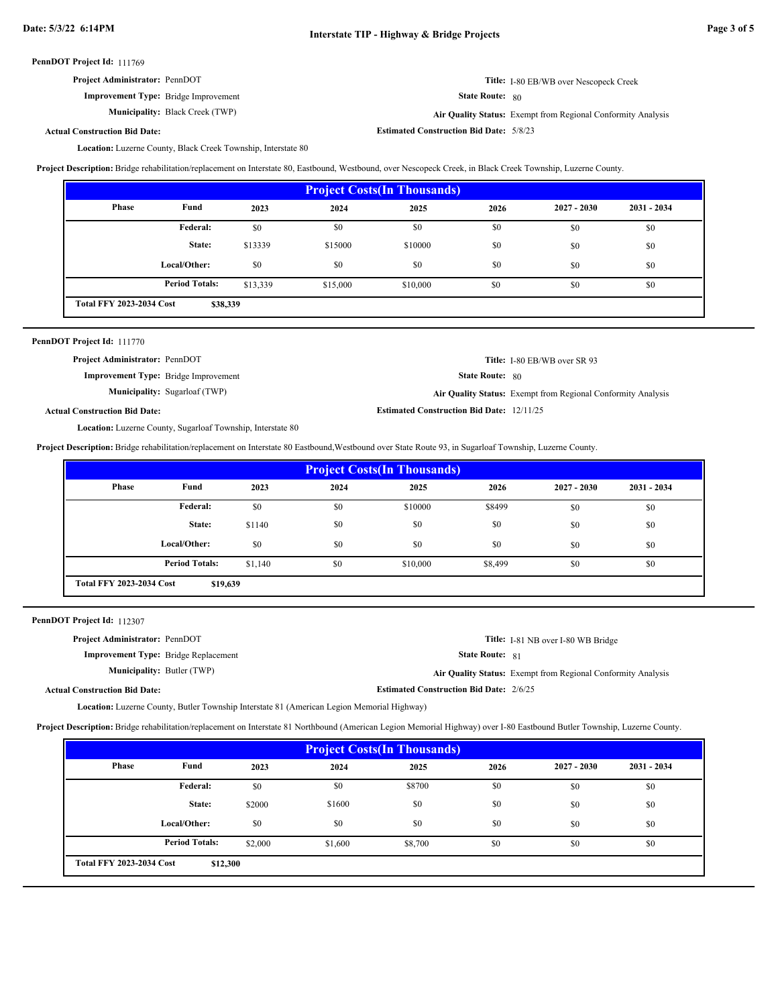| <b>Project Administrator: PennDOT</b> |  |
|---------------------------------------|--|
|---------------------------------------|--|

**Improvement Type:** Bridge Improvement

**Municipality:** Black Creek (TWP)

State Route: 80

**Estimated Construction Bid Date:** 5/8/23

Black Creek (TWP) **Air Quality Status:** Exempt from Regional Conformity Analysis

**Title:** I-80 EB/WB over Nescopeck Creek

### **Actual Construction Bid Date:**

Location: Luzerne County, Black Creek Township, Interstate 80

**Project Description:** Bridge rehabilitation/replacement on Interstate 80, Eastbound, Westbound, over Nescopeck Creek, in Black Creek Township, Luzerne County.

| <b>Project Costs (In Thousands)</b>         |                       |          |          |          |      |               |               |
|---------------------------------------------|-----------------------|----------|----------|----------|------|---------------|---------------|
| Phase                                       | Fund                  | 2023     | 2024     | 2025     | 2026 | $2027 - 2030$ | $2031 - 2034$ |
|                                             | Federal:              | \$0      | \$0      | \$0      | \$0  | \$0           | \$0           |
|                                             | State:                | \$13339  | \$15000  | \$10000  | \$0  | \$0           | \$0           |
|                                             | Local/Other:          | \$0      | \$0      | \$0      | \$0  | \$0           | \$0           |
|                                             | <b>Period Totals:</b> | \$13,339 | \$15,000 | \$10,000 | \$0  | \$0           | \$0           |
| <b>Total FFY 2023-2034 Cost</b><br>\$38,339 |                       |          |          |          |      |               |               |

| PennDOT Project Id: 111770 |  |
|----------------------------|--|
|                            |  |

Actu

| <b>Project Administrator: PennDOT</b> |                                             |                                                  | Title: I-80 EB/WB over SR 93                                 |
|---------------------------------------|---------------------------------------------|--------------------------------------------------|--------------------------------------------------------------|
|                                       | <b>Improvement Type:</b> Bridge Improvement | <b>State Route:</b> 80                           |                                                              |
|                                       | <b>Municipality:</b> Sugarloaf (TWP)        |                                                  | Air Quality Status: Exempt from Regional Conformity Analysis |
| al Construction Bid Date:             |                                             | <b>Estimated Construction Bid Date: 12/11/25</b> |                                                              |

Location: Luzerne County, Sugarloaf Township, Interstate 80

**Project Description:** Bridge rehabilitation/replacement on Interstate 80 Eastbound,Westbound over State Route 93, in Sugarloaf Township, Luzerne County.

| <b>Project Costs (In Thousands)</b>         |                       |         |      |          |         |               |               |
|---------------------------------------------|-----------------------|---------|------|----------|---------|---------------|---------------|
| <b>Phase</b>                                | Fund                  | 2023    | 2024 | 2025     | 2026    | $2027 - 2030$ | $2031 - 2034$ |
|                                             | Federal:              | \$0     | \$0  | \$10000  | \$8499  | \$0           | \$0           |
|                                             | State:                | \$1140  | \$0  | \$0      | \$0     | \$0           | \$0           |
|                                             | Local/Other:          | \$0     | \$0  | \$0      | \$0     | \$0           | \$0           |
|                                             | <b>Period Totals:</b> | \$1,140 | \$0  | \$10,000 | \$8,499 | \$0           | \$0           |
| <b>Total FFY 2023-2034 Cost</b><br>\$19,639 |                       |         |      |          |         |               |               |

PennDOT Project Id: 112307

| <b>Project Administrator: PennDOT</b>       |                                                | Title: I-81 NB over I-80 WB Bridge                           |
|---------------------------------------------|------------------------------------------------|--------------------------------------------------------------|
| <b>Improvement Type:</b> Bridge Replacement | <b>State Route: 81</b>                         |                                                              |
| <b>Municipality:</b> Butler (TWP)           |                                                | Air Quality Status: Exempt from Regional Conformity Analysis |
| <b>Actual Construction Bid Date:</b>        | <b>Estimated Construction Bid Date: 2/6/25</b> |                                                              |

Location: Luzerne County, Butler Township Interstate 81 (American Legion Memorial Highway)

**Project Description:** Bridge rehabilitation/replacement on Interstate 81 Northbound (American Legion Memorial Highway) over I-80 Eastbound Butler Township, Luzerne County.

| <b>Project Costs (In Thousands)</b>         |                       |         |         |         |      |               |             |  |  |
|---------------------------------------------|-----------------------|---------|---------|---------|------|---------------|-------------|--|--|
| Phase                                       | Fund                  | 2023    | 2024    | 2025    | 2026 | $2027 - 2030$ | 2031 - 2034 |  |  |
|                                             | Federal:              | \$0     | \$0     | \$8700  | \$0  | \$0           | \$0         |  |  |
|                                             | State:                | \$2000  | \$1600  | \$0     | \$0  | \$0           | \$0         |  |  |
|                                             | Local/Other:          | \$0     | \$0     | \$0     | \$0  | \$0           | \$0         |  |  |
|                                             | <b>Period Totals:</b> | \$2,000 | \$1,600 | \$8,700 | \$0  | \$0           | \$0         |  |  |
| <b>Total FFY 2023-2034 Cost</b><br>\$12,300 |                       |         |         |         |      |               |             |  |  |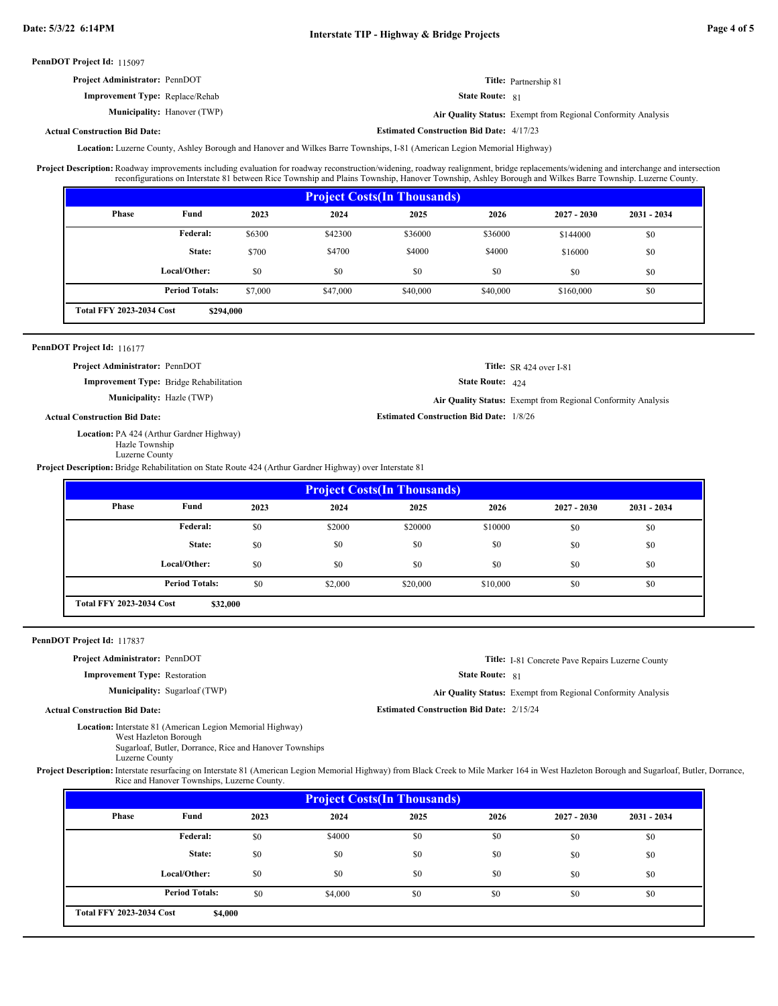| <b>Project Administrator: PennDOT</b>  | <b>Title:</b> Partnership 81                                 |
|----------------------------------------|--------------------------------------------------------------|
| <b>Improvement Type:</b> Replace/Rehab | <b>State Route: 81</b>                                       |
| <b>Municipality:</b> Hanover (TWP)     | Air Quality Status: Exempt from Regional Conformity Analysis |

**Actual Construction Bid Date:**

**Estimated Construction Bid Date:** 4/17/23

Location: Luzerne County, Ashley Borough and Hanover and Wilkes Barre Townships, I-81 (American Legion Memorial Highway)

Roadway improvements including evaluation for roadway reconstruction/widening, roadway realignment, bridge replacements/widening and interchange and intersection reconfigurations on Interstate 81 between Rice Township and Plains Township, Hanover Township, Ashley Borough and Wilkes Barre Township. Luzerne County. **Project Description:**

|                                              |                       |         |          | <b>Project Costs (In Thousands)</b> |          |               |               |  |
|----------------------------------------------|-----------------------|---------|----------|-------------------------------------|----------|---------------|---------------|--|
| Phase                                        | Fund                  | 2023    | 2024     | 2025                                | 2026     | $2027 - 2030$ | $2031 - 2034$ |  |
|                                              | <b>Federal:</b>       | \$6300  | \$42300  | \$36000                             | \$36000  | \$144000      | \$0           |  |
|                                              | State:                | \$700   | \$4700   | \$4000                              | \$4000   | \$16000       | \$0           |  |
|                                              | Local/Other:          | \$0     | \$0      | \$0                                 | \$0      | \$0           | \$0           |  |
|                                              | <b>Period Totals:</b> | \$7,000 | \$47,000 | \$40,000                            | \$40,000 | \$160,000     | \$0           |  |
| <b>Total FFY 2023-2034 Cost</b><br>\$294,000 |                       |         |          |                                     |          |               |               |  |

### PennDOT Project Id: 116177

**Project Administrator:** PennDOT

**Improvement Type:** Bridge Rehabilitation

**Municipality:** Hazle (TWP)

## **Actual Construction Bid Date:**

Location: PA 424 (Arthur Gardner Highway) Hazle Township

Luzerne County

**Project Description:** Bridge Rehabilitation on State Route 424 (Arthur Gardner Highway) over Interstate 81

|                                 |                       |      |         | <b>Project Costs (In Thousands)</b> |          |               |               |
|---------------------------------|-----------------------|------|---------|-------------------------------------|----------|---------------|---------------|
| Phase                           | Fund                  | 2023 | 2024    | 2025                                | 2026     | $2027 - 2030$ | $2031 - 2034$ |
|                                 | Federal:              | \$0  | \$2000  | \$20000                             | \$10000  | \$0           | \$0           |
|                                 | State:                | \$0  | \$0     | \$0                                 | \$0      | \$0           | \$0           |
|                                 | Local/Other:          | \$0  | \$0     | \$0                                 | \$0      | \$0           | \$0           |
|                                 | <b>Period Totals:</b> | \$0  | \$2,000 | \$20,000                            | \$10,000 | \$0           | \$0           |
| <b>Total FFY 2023-2034 Cost</b> | \$32,000              |      |         |                                     |          |               |               |

#### PennDOT Project Id: 117837

**Project Administrator:** PennDOT

**Improvement Type:** Restoration

**Municipality:** Sugarloaf (TWP)

**Title:** I-81 Concrete Pave Repairs Luzerne County

State Route: 81

State Route: 424

**Estimated Construction Bid Date:** 1/8/26

Hazle (TWP) **Air Quality Status:** Exempt from Regional Conformity Analysis

**Title:** SR 424 over I-81

Sugarloaf (TWP) **Air Quality Status:** Exempt from Regional Conformity Analysis

**Estimated Construction Bid Date:** 2/15/24

# **Actual Construction Bid Date:**

Location: Interstate 81 (American Legion Memorial Highway)

West Hazleton Borough Sugarloaf, Butler, Dorrance, Rice and Hanover Townships

Luzerne County

Project Description: Interstate resurfacing on Interstate 81 (American Legion Memorial Highway) from Black Creek to Mile Marker 164 in West Hazleton Borough and Sugarloaf, Butler, Dorrance, Rice and Hanover Townships, Luzerne County.

| <b>Project Costs (In Thousands)</b>        |                       |      |         |      |      |               |               |  |  |
|--------------------------------------------|-----------------------|------|---------|------|------|---------------|---------------|--|--|
| Phase                                      | Fund                  | 2023 | 2024    | 2025 | 2026 | $2027 - 2030$ | $2031 - 2034$ |  |  |
|                                            | Federal:              | \$0  | \$4000  | \$0  | \$0  | \$0           | \$0           |  |  |
|                                            | State:                | \$0  | \$0     | \$0  | \$0  | \$0           | \$0           |  |  |
|                                            | Local/Other:          | \$0  | \$0     | \$0  | \$0  | \$0           | \$0           |  |  |
|                                            | <b>Period Totals:</b> | \$0  | \$4,000 | \$0  | \$0  | \$0           | \$0           |  |  |
| <b>Total FFY 2023-2034 Cost</b><br>\$4,000 |                       |      |         |      |      |               |               |  |  |